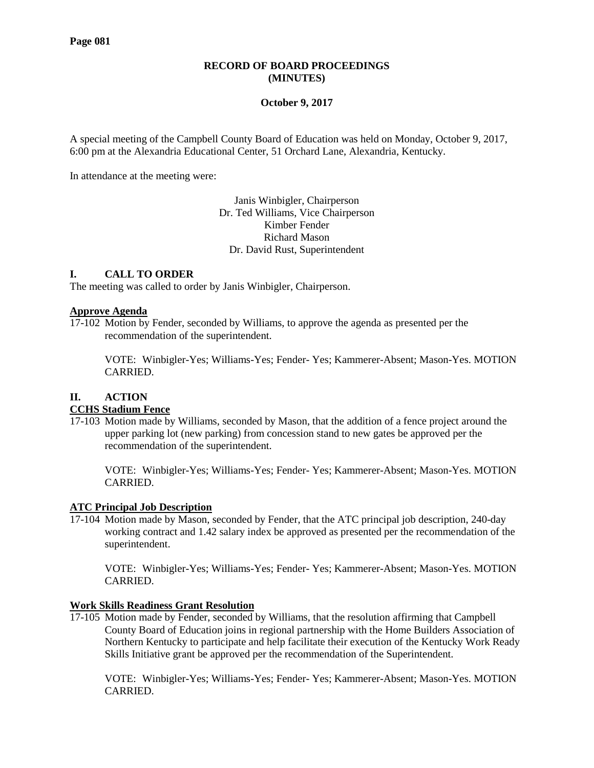### **RECORD OF BOARD PROCEEDINGS (MINUTES)**

### **October 9, 2017**

A special meeting of the Campbell County Board of Education was held on Monday, October 9, 2017, 6:00 pm at the Alexandria Educational Center, 51 Orchard Lane, Alexandria, Kentucky.

In attendance at the meeting were:

Janis Winbigler, Chairperson Dr. Ted Williams, Vice Chairperson Kimber Fender Richard Mason Dr. David Rust, Superintendent

## **I. CALL TO ORDER**

The meeting was called to order by Janis Winbigler, Chairperson.

#### **Approve Agenda**

17-102 Motion by Fender, seconded by Williams, to approve the agenda as presented per the recommendation of the superintendent.

VOTE: Winbigler-Yes; Williams-Yes; Fender- Yes; Kammerer-Absent; Mason-Yes. MOTION CARRIED.

# **II. ACTION**

### **CCHS Stadium Fence**

17-103 Motion made by Williams, seconded by Mason, that the addition of a fence project around the upper parking lot (new parking) from concession stand to new gates be approved per the recommendation of the superintendent.

VOTE: Winbigler-Yes; Williams-Yes; Fender- Yes; Kammerer-Absent; Mason-Yes. MOTION **CARRIED.** 

### **ATC Principal Job Description**

17-104 Motion made by Mason, seconded by Fender, that the ATC principal job description, 240-day working contract and 1.42 salary index be approved as presented per the recommendation of the superintendent.

VOTE: Winbigler-Yes; Williams-Yes; Fender- Yes; Kammerer-Absent; Mason-Yes. MOTION CARRIED.

### **Work Skills Readiness Grant Resolution**

17-105 Motion made by Fender, seconded by Williams, that the resolution affirming that Campbell County Board of Education joins in regional partnership with the Home Builders Association of Northern Kentucky to participate and help facilitate their execution of the Kentucky Work Ready Skills Initiative grant be approved per the recommendation of the Superintendent.

VOTE: Winbigler-Yes; Williams-Yes; Fender- Yes; Kammerer-Absent; Mason-Yes. MOTION CARRIED.